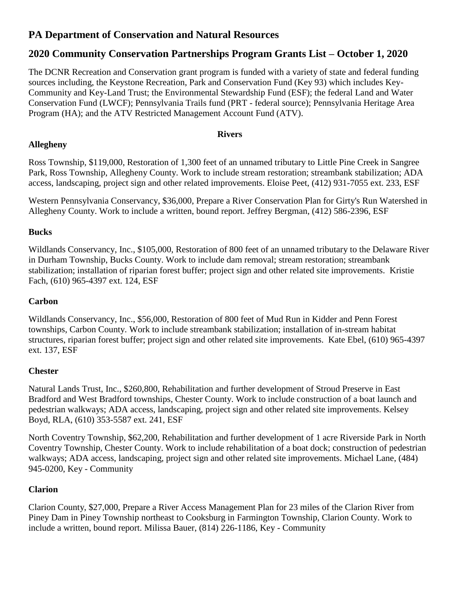# **PA Department of Conservation and Natural Resources**

# **2020 Community Conservation Partnerships Program Grants List – October 1, 2020**

The DCNR Recreation and Conservation grant program is funded with a variety of state and federal funding sources including, the Keystone Recreation, Park and Conservation Fund (Key 93) which includes Key-Community and Key-Land Trust; the Environmental Stewardship Fund (ESF); the federal Land and Water Conservation Fund (LWCF); Pennsylvania Trails fund (PRT - federal source); Pennsylvania Heritage Area Program (HA); and the ATV Restricted Management Account Fund (ATV).

## **Rivers**

# **Allegheny**

Ross Township, \$119,000, Restoration of 1,300 feet of an unnamed tributary to Little Pine Creek in Sangree Park, Ross Township, Allegheny County. Work to include stream restoration; streambank stabilization; ADA access, landscaping, project sign and other related improvements. Eloise Peet, (412) 931-7055 ext. 233, ESF

Western Pennsylvania Conservancy, \$36,000, Prepare a River Conservation Plan for Girty's Run Watershed in Allegheny County. Work to include a written, bound report. Jeffrey Bergman, (412) 586-2396, ESF

## **Bucks**

Wildlands Conservancy, Inc., \$105,000, Restoration of 800 feet of an unnamed tributary to the Delaware River in Durham Township, Bucks County. Work to include dam removal; stream restoration; streambank stabilization; installation of riparian forest buffer; project sign and other related site improvements. Kristie Fach, (610) 965-4397 ext. 124, ESF

# **Carbon**

Wildlands Conservancy, Inc., \$56,000, Restoration of 800 feet of Mud Run in Kidder and Penn Forest townships, Carbon County. Work to include streambank stabilization; installation of in-stream habitat structures, riparian forest buffer; project sign and other related site improvements. Kate Ebel, (610) 965-4397 ext. 137, ESF

#### **Chester**

Natural Lands Trust, Inc., \$260,800, Rehabilitation and further development of Stroud Preserve in East Bradford and West Bradford townships, Chester County. Work to include construction of a boat launch and pedestrian walkways; ADA access, landscaping, project sign and other related site improvements. Kelsey Boyd, RLA, (610) 353-5587 ext. 241, ESF

North Coventry Township, \$62,200, Rehabilitation and further development of 1 acre Riverside Park in North Coventry Township, Chester County. Work to include rehabilitation of a boat dock; construction of pedestrian walkways; ADA access, landscaping, project sign and other related site improvements. Michael Lane, (484) 945-0200, Key - Community

# **Clarion**

Clarion County, \$27,000, Prepare a River Access Management Plan for 23 miles of the Clarion River from Piney Dam in Piney Township northeast to Cooksburg in Farmington Township, Clarion County. Work to include a written, bound report. Milissa Bauer, (814) 226-1186, Key - Community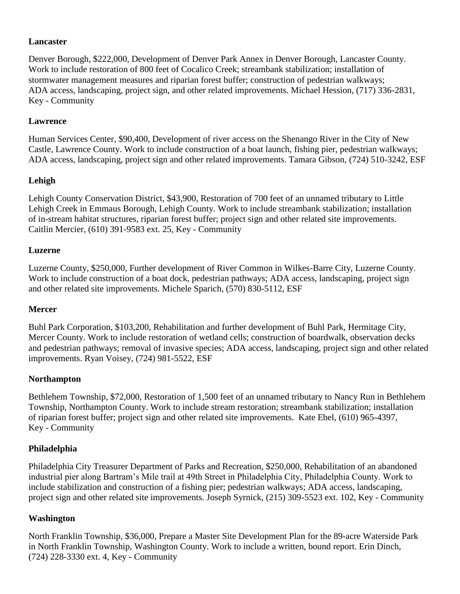## **Lancaster**

Denver Borough, \$222,000, Development of Denver Park Annex in Denver Borough, Lancaster County. Work to include restoration of 800 feet of Cocalico Creek; streambank stabilization; installation of stormwater management measures and riparian forest buffer; construction of pedestrian walkways; ADA access, landscaping, project sign, and other related improvements. Michael Hession, (717) 336-2831, Key - Community

## **Lawrence**

Human Services Center, \$90,400, Development of river access on the Shenango River in the City of New Castle, Lawrence County. Work to include construction of a boat launch, fishing pier, pedestrian walkways; ADA access, landscaping, project sign and other related improvements. Tamara Gibson, (724) 510-3242, ESF

## **Lehigh**

Lehigh County Conservation District, \$43,900, Restoration of 700 feet of an unnamed tributary to Little Lehigh Creek in Emmaus Borough, Lehigh County. Work to include streambank stabilization; installation of in-stream habitat structures, riparian forest buffer; project sign and other related site improvements. Caitlin Mercier, (610) 391-9583 ext. 25, Key - Community

#### **Luzerne**

Luzerne County, \$250,000, Further development of River Common in Wilkes-Barre City, Luzerne County. Work to include construction of a boat dock, pedestrian pathways; ADA access, landscaping, project sign and other related site improvements. Michele Sparich, (570) 830-5112, ESF

#### **Mercer**

Buhl Park Corporation, \$103,200, Rehabilitation and further development of Buhl Park, Hermitage City, Mercer County. Work to include restoration of wetland cells; construction of boardwalk, observation decks and pedestrian pathways; removal of invasive species; ADA access, landscaping, project sign and other related improvements. Ryan Voisey, (724) 981-5522, ESF

#### **Northampton**

Bethlehem Township, \$72,000, Restoration of 1,500 feet of an unnamed tributary to Nancy Run in Bethlehem Township, Northampton County. Work to include stream restoration; streambank stabilization; installation of riparian forest buffer; project sign and other related site improvements. Kate Ebel, (610) 965-4397, Key - Community

#### **Philadelphia**

Philadelphia City Treasurer Department of Parks and Recreation, \$250,000, Rehabilitation of an abandoned industrial pier along Bartram's Mile trail at 49th Street in Philadelphia City, Philadelphia County. Work to include stabilization and construction of a fishing pier; pedestrian walkways; ADA access, landscaping, project sign and other related site improvements. Joseph Syrnick, (215) 309-5523 ext. 102, Key - Community

#### **Washington**

North Franklin Township, \$36,000, Prepare a Master Site Development Plan for the 89-acre Waterside Park in North Franklin Township, Washington County. Work to include a written, bound report. Erin Dinch, (724) 228-3330 ext. 4, Key - Community